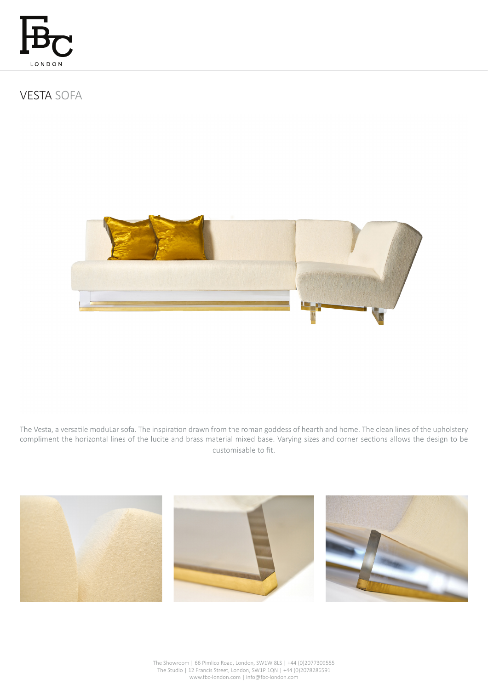

# VESTA SOFA



The Vesta, a versatile moduLar sofa. The inspiration drawn from the roman goddess of hearth and home. The clean lines of the upholstery compliment the horizontal lines of the lucite and brass material mixed base. Varying sizes and corner sections allows the design to be customisable to fit.